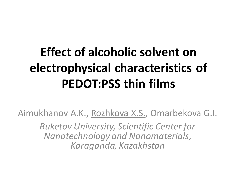# **Effect of alcoholic solvent on electrophysical characteristics of PEDOT:PSS thin films**

Aimukhanov A.K., Rozhkova X.S., Omarbekova G.I.

*Buketov University, Scientific Center for Nanotechnology and Nanomaterials, Karaganda, Kazakhstan*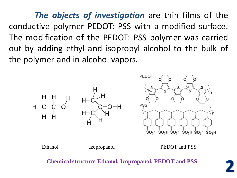*The objects of investigation* are thin films of the conductive polymer PEDOT: PSS with a modified surface. The modification of the PEDOT: PSS polymer was carried out by adding ethyl and isopropyl alcohol to the bulk of the polymer and in alcohol vapors.



**Chemical structure Ethanol, Izopropanol, PEDOT and PSS**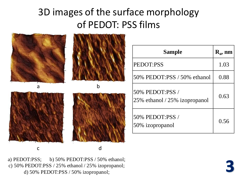#### 3D images of the surface morphology of PEDOT: PSS films



a) PEDOT:PSS; b) 50% PEDOT:PSS  $/$  50% ethanol; c) 50% PEDOT:PSS / 25% ethanol / 25% izopropanol; d) 50% PEDOT:PSS / 50% izopropanol;

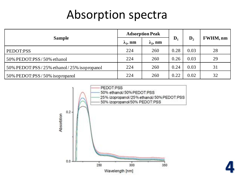### Absorption spectra

| <b>Sample</b>                             | <b>Adsorption Peak</b> |                  |              |                  |                  |  |
|-------------------------------------------|------------------------|------------------|--------------|------------------|------------------|--|
|                                           | $\lambda_1$ , nm       | $\lambda_2$ , nm | $\mathbf{D}$ | $\mathbf{D}_{2}$ | <b>FWHM</b> , nm |  |
| PEDOT:PSS                                 | 224                    | 260              | 0.28         | 0.03             | 28               |  |
| 50% PEDOT:PSS/50% ethanol                 | 224                    | 260              | 0.26         | 0.03             | 29               |  |
| 50% PEDOT:PSS/25% ethanol/25% isopropanol | 224                    | 260              | 0.24         | 0.03             | 31               |  |
| 50% PEDOT:PSS/50% isopropanol             | 224                    | 260              | 0.22         | 0.02             | 32               |  |

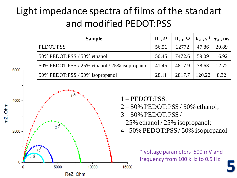#### Light impedance spectra of films of the standart and modified PEDOT:PSS

|          | <b>Sample</b>                                 | $\mathbf{R}_{h}$ , $\Omega$ | $\mathbf{R}_{\text{ext}}, \mathbf{\Omega}$ | $k_{eff}$ , $s^{-1}$ | $\tau_{\text{eff}}$ , ms |
|----------|-----------------------------------------------|-----------------------------|--------------------------------------------|----------------------|--------------------------|
|          | PEDOT:PSS                                     | 56.51                       | 12772                                      | 47.86                | 20.89                    |
|          | 50% PEDOT:PSS / 50% ethanol                   | 50.45                       | 7472.6                                     | 59.09                | 16.92                    |
| $6000 -$ | 50% PEDOT:PSS / 25% ethanol / 25% isopropanol | 41.45                       | 4817.9                                     | 78.63                | 12.72                    |
|          | 50% PEDOT:PSS / 50% isopropanol               | 28.11                       | 2817.7                                     | 120.22               | 8.32                     |



1 – PEDOT:PSS;

- 2 50% PEDOT:PSS / 50% ethanol;
- 3 50% PEDOT:PSS /
	- 25% ethanol / 25% isopropanol;
- 4 –50% PEDOT:PSS / 50% isopropanol

\* voltage parameters -500 mV and frequency from 100 kHz to 0.5 Hz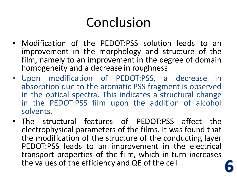# Сonclusion

- Modification of the PEDOT:PSS solution leads to an improvement in the morphology and structure of the film, namely to an improvement in the degree of domain homogeneity and a decrease in roughness
- Upon modification of PEDOT:PSS, a decrease in absorption due to the aromatic PSS fragment is observed in the optical spectra. This indicates a structural change in the PEDOT:PSS film upon the addition of alcohol solvents.
- The structural features of PEDOT:PSS affect the electrophysical parameters of the films. It was found that the modification of the structure of the conducting layer PEDOT:PSS leads to an improvement in the electrical transport properties of the film, which in turn increases the values of the efficiency and QE of the cell.